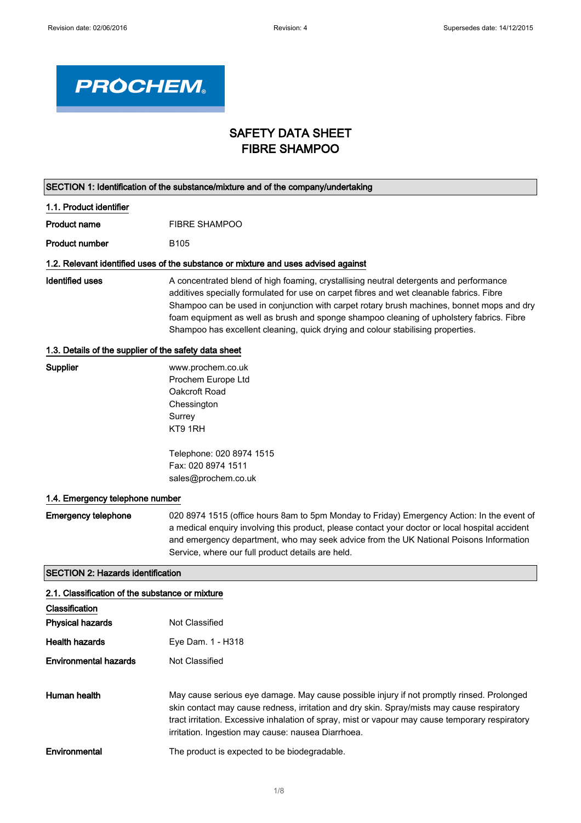

# SAFETY DATA SHEET FIBRE SHAMPOO

| SECTION 1: Identification of the substance/mixture and of the company/undertaking |                                                                                                                                                                                                                                                                                                                                                                                                                                                                |  |
|-----------------------------------------------------------------------------------|----------------------------------------------------------------------------------------------------------------------------------------------------------------------------------------------------------------------------------------------------------------------------------------------------------------------------------------------------------------------------------------------------------------------------------------------------------------|--|
| 1.1. Product identifier                                                           |                                                                                                                                                                                                                                                                                                                                                                                                                                                                |  |
| <b>Product name</b>                                                               | <b>FIBRE SHAMPOO</b>                                                                                                                                                                                                                                                                                                                                                                                                                                           |  |
| <b>Product number</b>                                                             | B <sub>105</sub>                                                                                                                                                                                                                                                                                                                                                                                                                                               |  |
|                                                                                   | 1.2. Relevant identified uses of the substance or mixture and uses advised against                                                                                                                                                                                                                                                                                                                                                                             |  |
| <b>Identified uses</b>                                                            | A concentrated blend of high foaming, crystallising neutral detergents and performance<br>additives specially formulated for use on carpet fibres and wet cleanable fabrics. Fibre<br>Shampoo can be used in conjunction with carpet rotary brush machines, bonnet mops and dry<br>foam equipment as well as brush and sponge shampoo cleaning of upholstery fabrics. Fibre<br>Shampoo has excellent cleaning, quick drying and colour stabilising properties. |  |
| 1.3. Details of the supplier of the safety data sheet                             |                                                                                                                                                                                                                                                                                                                                                                                                                                                                |  |
| <b>Supplier</b>                                                                   | www.prochem.co.uk<br>Prochem Europe Ltd<br>Oakcroft Road<br>Chessington<br>Surrey<br>KT9 1RH                                                                                                                                                                                                                                                                                                                                                                   |  |
|                                                                                   | Telephone: 020 8974 1515<br>Fax: 020 8974 1511<br>sales@prochem.co.uk                                                                                                                                                                                                                                                                                                                                                                                          |  |
| 1.4. Emergency telephone number                                                   |                                                                                                                                                                                                                                                                                                                                                                                                                                                                |  |
| <b>Emergency telephone</b>                                                        | 020 8974 1515 (office hours 8am to 5pm Monday to Friday) Emergency Action: In the event of<br>a medical enquiry involving this product, please contact your doctor or local hospital accident<br>and emergency department, who may seek advice from the UK National Poisons Information<br>Service, where our full product details are held.                                                                                                                   |  |
| <b>SECTION 2: Hazards identification</b>                                          |                                                                                                                                                                                                                                                                                                                                                                                                                                                                |  |
| 2.1. Classification of the substance or mixture                                   |                                                                                                                                                                                                                                                                                                                                                                                                                                                                |  |
| Classification<br><b>Physical hazards</b>                                         | Not Classified                                                                                                                                                                                                                                                                                                                                                                                                                                                 |  |
| <b>Health hazards</b>                                                             | Eye Dam. 1 - H318                                                                                                                                                                                                                                                                                                                                                                                                                                              |  |
| <b>Environmental hazards</b>                                                      | Not Classified                                                                                                                                                                                                                                                                                                                                                                                                                                                 |  |
| Human health                                                                      | May cause serious eye damage. May cause possible injury if not promptly rinsed. Prolonged<br>skin contact may cause redness, irritation and dry skin. Spray/mists may cause respiratory<br>tract irritation. Excessive inhalation of spray, mist or vapour may cause temporary respiratory<br>irritation. Ingestion may cause: nausea Diarrhoea.                                                                                                               |  |
| Environmental                                                                     | The product is expected to be biodegradable.                                                                                                                                                                                                                                                                                                                                                                                                                   |  |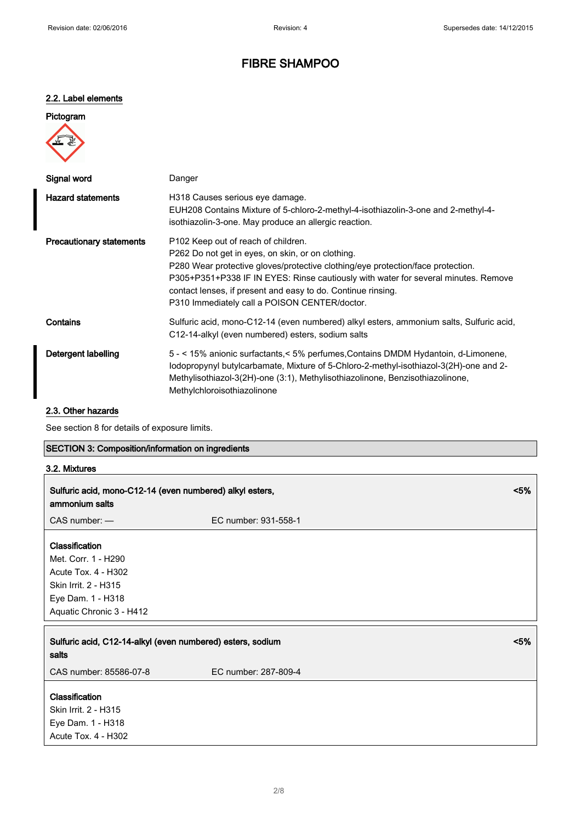## 2.2. Label elements

| Pictogram |
|-----------|
|           |
|           |

| Signal word                     | Danger                                                                                                                                                                                                                                                                                                                                                                                         |
|---------------------------------|------------------------------------------------------------------------------------------------------------------------------------------------------------------------------------------------------------------------------------------------------------------------------------------------------------------------------------------------------------------------------------------------|
| <b>Hazard statements</b>        | H318 Causes serious eye damage.<br>EUH208 Contains Mixture of 5-chloro-2-methyl-4-isothiazolin-3-one and 2-methyl-4-<br>isothiazolin-3-one. May produce an allergic reaction.                                                                                                                                                                                                                  |
| <b>Precautionary statements</b> | P <sub>102</sub> Keep out of reach of children.<br>P262 Do not get in eyes, on skin, or on clothing.<br>P280 Wear protective gloves/protective clothing/eye protection/face protection.<br>P305+P351+P338 IF IN EYES: Rinse cautiously with water for several minutes. Remove<br>contact lenses, if present and easy to do. Continue rinsing.<br>P310 Immediately call a POISON CENTER/doctor. |
| Contains                        | Sulfuric acid, mono-C12-14 (even numbered) alkyl esters, ammonium salts, Sulfuric acid,<br>C12-14-alkyl (even numbered) esters, sodium salts                                                                                                                                                                                                                                                   |
| Detergent labelling             | 5 - < 15% anionic surfactants, < 5% perfumes, Contains DMDM Hydantoin, d-Limonene,<br>lodopropynyl butylcarbamate, Mixture of 5-Chloro-2-methyl-isothiazol-3(2H)-one and 2-<br>Methylisothiazol-3(2H)-one (3:1), Methylisothiazolinone, Benzisothiazolinone,<br>Methylchloroisothiazolinone                                                                                                    |

### 2.3. Other hazards

See section 8 for details of exposure limits.

### SECTION 3: Composition/information on ingredients

### 3.2. Mixtures

| Sulfuric acid, mono-C12-14 (even numbered) alkyl esters,<br>ammonium salts                                                            |                      | < 5% |
|---------------------------------------------------------------------------------------------------------------------------------------|----------------------|------|
| CAS number: -                                                                                                                         | EC number: 931-558-1 |      |
| Classification<br>Met. Corr. 1 - H290<br>Acute Tox. 4 - H302<br>Skin Irrit. 2 - H315<br>Eye Dam. 1 - H318<br>Aquatic Chronic 3 - H412 |                      |      |
| Sulfuric acid, C12-14-alkyl (even numbered) esters, sodium<br>salts                                                                   |                      | < 5% |
| CAS number: 85586-07-8                                                                                                                | EC number: 287-809-4 |      |
| Classification<br>Skin Irrit. 2 - H315<br>Eye Dam. 1 - H318<br>Acute Tox. 4 - H302                                                    |                      |      |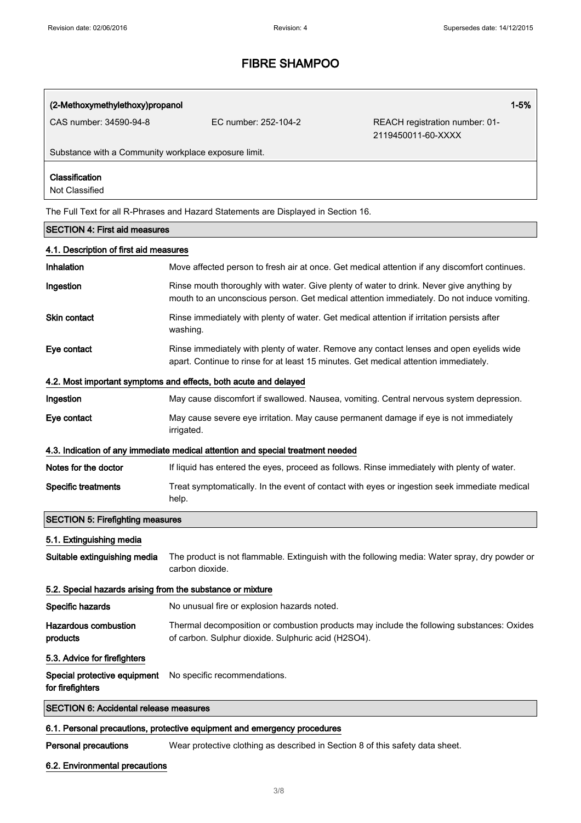### (2-Methoxymethylethoxy)propanol 1-5%

CAS number: 34590-94-8 EC number: 252-104-2 REACH registration number: 01- 2119450011-60-XXXX

Substance with a Community workplace exposure limit.

### Classification

Not Classified

The Full Text for all R-Phrases and Hazard Statements are Displayed in Section 16.

#### SECTION 4: First aid measures

| 4.1. Description of first aid measures                     |                                                                                                                                                                                        |  |  |
|------------------------------------------------------------|----------------------------------------------------------------------------------------------------------------------------------------------------------------------------------------|--|--|
| Inhalation                                                 | Move affected person to fresh air at once. Get medical attention if any discomfort continues.                                                                                          |  |  |
| Ingestion                                                  | Rinse mouth thoroughly with water. Give plenty of water to drink. Never give anything by<br>mouth to an unconscious person. Get medical attention immediately. Do not induce vomiting. |  |  |
| <b>Skin contact</b>                                        | Rinse immediately with plenty of water. Get medical attention if irritation persists after<br>washing.                                                                                 |  |  |
| Eye contact                                                | Rinse immediately with plenty of water. Remove any contact lenses and open eyelids wide<br>apart. Continue to rinse for at least 15 minutes. Get medical attention immediately.        |  |  |
|                                                            | 4.2. Most important symptoms and effects, both acute and delayed                                                                                                                       |  |  |
| Ingestion                                                  | May cause discomfort if swallowed. Nausea, vomiting. Central nervous system depression.                                                                                                |  |  |
| Eye contact                                                | May cause severe eye irritation. May cause permanent damage if eye is not immediately<br>irrigated.                                                                                    |  |  |
|                                                            | 4.3. Indication of any immediate medical attention and special treatment needed                                                                                                        |  |  |
| Notes for the doctor                                       | If liquid has entered the eyes, proceed as follows. Rinse immediately with plenty of water.                                                                                            |  |  |
| <b>Specific treatments</b>                                 | Treat symptomatically. In the event of contact with eyes or ingestion seek immediate medical<br>help.                                                                                  |  |  |
| <b>SECTION 5: Firefighting measures</b>                    |                                                                                                                                                                                        |  |  |
| 5.1. Extinguishing media                                   |                                                                                                                                                                                        |  |  |
| Suitable extinguishing media                               | The product is not flammable. Extinguish with the following media: Water spray, dry powder or<br>carbon dioxide.                                                                       |  |  |
| 5.2. Special hazards arising from the substance or mixture |                                                                                                                                                                                        |  |  |
| Specific hazards                                           | No unusual fire or explosion hazards noted.                                                                                                                                            |  |  |
| <b>Hazardous combustion</b><br>products                    | Thermal decomposition or combustion products may include the following substances: Oxides<br>of carbon. Sulphur dioxide. Sulphuric acid (H2SO4).                                       |  |  |
| 5.3. Advice for firefighters                               |                                                                                                                                                                                        |  |  |
| Special protective equipment<br>for firefighters           | No specific recommendations.                                                                                                                                                           |  |  |
| <b>SECTION 6: Accidental release measures</b>              |                                                                                                                                                                                        |  |  |

#### 6.1. Personal precautions, protective equipment and emergency procedures

Personal precautions Wear protective clothing as described in Section 8 of this safety data sheet.

#### 6.2. Environmental precautions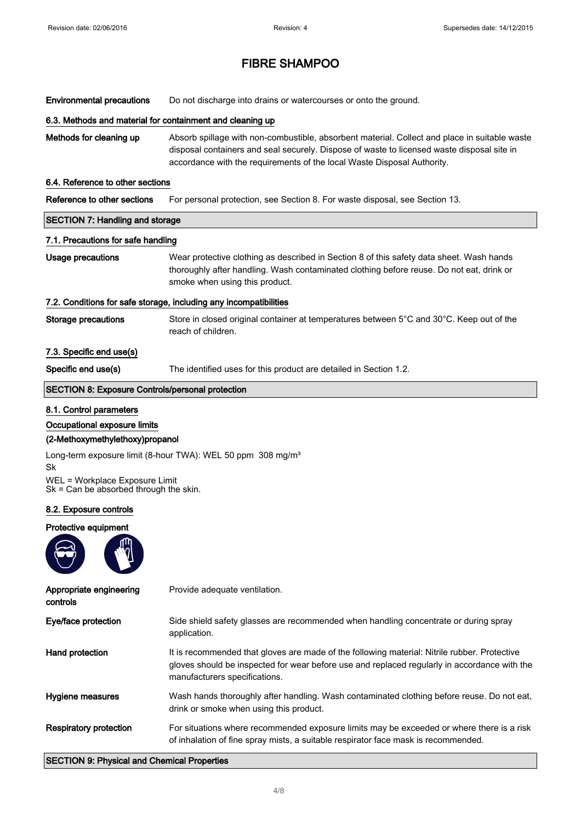Environmental precautions Do not discharge into drains or watercourses or onto the ground.

#### 6.3. Methods and material for containment and cleaning up

Methods for cleaning up Absorb spillage with non-combustible, absorbent material. Collect and place in suitable waste disposal containers and seal securely. Dispose of waste to licensed waste disposal site in accordance with the requirements of the local Waste Disposal Authority.

#### 6.4. Reference to other sections

| Reference to other sections |  | For personal protection, see Section 8. For waste disposal, see Section 13. |  |
|-----------------------------|--|-----------------------------------------------------------------------------|--|
|-----------------------------|--|-----------------------------------------------------------------------------|--|

## SECTION 7: Handling and storage

#### 7.1. Precautions for safe handling

Usage precautions Wear protective clothing as described in Section 8 of this safety data sheet. Wash hands thoroughly after handling. Wash contaminated clothing before reuse. Do not eat, drink or smoke when using this product.

#### 7.2. Conditions for safe storage, including any incompatibilities

Storage precautions Store in closed original container at temperatures between 5°C and 30°C. Keep out of the reach of children.

#### 7.3. Specific end use(s)

Specific end use(s) The identified uses for this product are detailed in Section 1.2.

#### SECTION 8: Exposure Controls/personal protection

#### 8.1. Control parameters

#### Occupational exposure limits

#### (2-Methoxymethylethoxy)propanol

Long-term exposure limit (8-hour TWA): WEL 50 ppm 308 mg/m<sup>3</sup> Sk

WEL = Workplace Exposure Limit Sk = Can be absorbed through the skin.

#### 8.2. Exposure controls

#### Protective equipment



| Appropriate engineering<br>controls | Provide adequate ventilation.                                                                                                                                                                                                 |
|-------------------------------------|-------------------------------------------------------------------------------------------------------------------------------------------------------------------------------------------------------------------------------|
| Eye/face protection                 | Side shield safety glasses are recommended when handling concentrate or during spray<br>application.                                                                                                                          |
| Hand protection                     | It is recommended that gloves are made of the following material: Nitrile rubber. Protective<br>gloves should be inspected for wear before use and replaced regularly in accordance with the<br>manufacturers specifications. |
| Hygiene measures                    | Wash hands thoroughly after handling. Wash contaminated clothing before reuse. Do not eat,<br>drink or smoke when using this product.                                                                                         |
| <b>Respiratory protection</b>       | For situations where recommended exposure limits may be exceeded or where there is a risk<br>of inhalation of fine spray mists, a suitable respirator face mask is recommended.                                               |

#### SECTION 9: Physical and Chemical Properties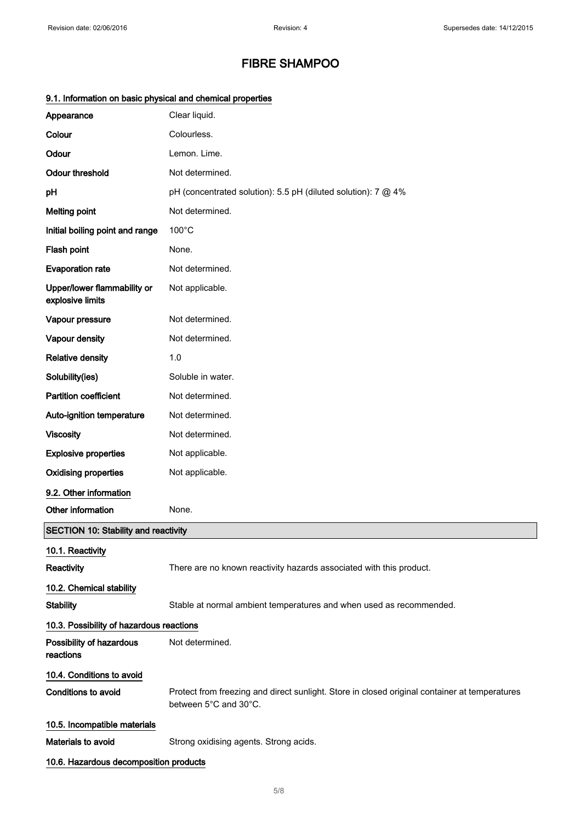| 9. 1. mnomaalon on basic priysical and chemical properties |                                                                                                                        |
|------------------------------------------------------------|------------------------------------------------------------------------------------------------------------------------|
| Appearance                                                 | Clear liquid.                                                                                                          |
| Colour                                                     | Colourless.                                                                                                            |
| Odour                                                      | Lemon. Lime.                                                                                                           |
| <b>Odour threshold</b>                                     | Not determined.                                                                                                        |
| pH                                                         | pH (concentrated solution): 5.5 pH (diluted solution): 7 @ 4%                                                          |
| <b>Melting point</b>                                       | Not determined.                                                                                                        |
| Initial boiling point and range                            | $100^{\circ}$ C                                                                                                        |
| Flash point                                                | None.                                                                                                                  |
| <b>Evaporation rate</b>                                    | Not determined.                                                                                                        |
| Upper/lower flammability or<br>explosive limits            | Not applicable.                                                                                                        |
| Vapour pressure                                            | Not determined.                                                                                                        |
| Vapour density                                             | Not determined.                                                                                                        |
| <b>Relative density</b>                                    | 1.0                                                                                                                    |
| Solubility(ies)                                            | Soluble in water.                                                                                                      |
| <b>Partition coefficient</b>                               | Not determined.                                                                                                        |
| Auto-ignition temperature                                  | Not determined.                                                                                                        |
| <b>Viscosity</b>                                           | Not determined.                                                                                                        |
| <b>Explosive properties</b>                                | Not applicable.                                                                                                        |
| <b>Oxidising properties</b>                                | Not applicable.                                                                                                        |
| 9.2. Other information                                     |                                                                                                                        |
| Other information                                          | None.                                                                                                                  |
| <b>SECTION 10: Stability and reactivity</b>                |                                                                                                                        |
| 10.1. Reactivity                                           |                                                                                                                        |
| Reactivity                                                 | There are no known reactivity hazards associated with this product.                                                    |
| 10.2. Chemical stability                                   |                                                                                                                        |
| <b>Stability</b>                                           | Stable at normal ambient temperatures and when used as recommended.                                                    |
| 10.3. Possibility of hazardous reactions                   |                                                                                                                        |
| Possibility of hazardous<br>reactions                      | Not determined.                                                                                                        |
| 10.4. Conditions to avoid                                  |                                                                                                                        |
| <b>Conditions to avoid</b>                                 | Protect from freezing and direct sunlight. Store in closed original container at temperatures<br>between 5°C and 30°C. |
| 10.5. Incompatible materials                               |                                                                                                                        |
| Materials to avoid                                         | Strong oxidising agents. Strong acids.                                                                                 |
| 10.6. Hazardous decomposition products                     |                                                                                                                        |

## 9.1. Information on basic physical and chemical properties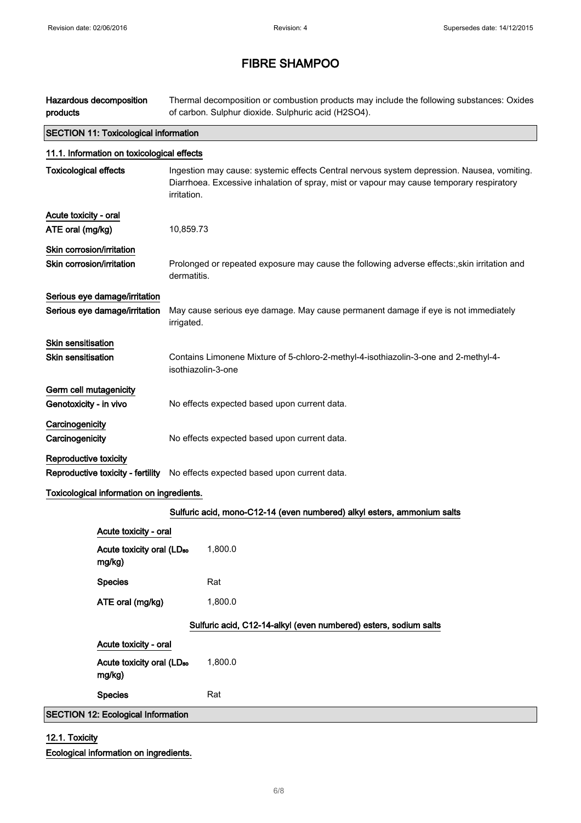| Hazardous decomposition<br>products                            | Thermal decomposition or combustion products may include the following substances: Oxides<br>of carbon. Sulphur dioxide. Sulphuric acid (H2SO4).                                                      |  |  |  |
|----------------------------------------------------------------|-------------------------------------------------------------------------------------------------------------------------------------------------------------------------------------------------------|--|--|--|
|                                                                | <b>SECTION 11: Toxicological information</b>                                                                                                                                                          |  |  |  |
| 11.1. Information on toxicological effects                     |                                                                                                                                                                                                       |  |  |  |
| <b>Toxicological effects</b>                                   | Ingestion may cause: systemic effects Central nervous system depression. Nausea, vomiting.<br>Diarrhoea. Excessive inhalation of spray, mist or vapour may cause temporary respiratory<br>irritation. |  |  |  |
| Acute toxicity - oral<br>ATE oral (mg/kg)                      | 10,859.73                                                                                                                                                                                             |  |  |  |
| Skin corrosion/irritation<br>Skin corrosion/irritation         | Prolonged or repeated exposure may cause the following adverse effects:, skin irritation and<br>dermatitis.                                                                                           |  |  |  |
| Serious eye damage/irritation<br>Serious eye damage/irritation | May cause serious eye damage. May cause permanent damage if eye is not immediately<br>irrigated.                                                                                                      |  |  |  |
| <b>Skin sensitisation</b><br><b>Skin sensitisation</b>         | Contains Limonene Mixture of 5-chloro-2-methyl-4-isothiazolin-3-one and 2-methyl-4-<br>isothiazolin-3-one                                                                                             |  |  |  |
| Germ cell mutagenicity<br>Genotoxicity - in vivo               | No effects expected based upon current data.                                                                                                                                                          |  |  |  |
| Carcinogenicity<br>Carcinogenicity                             | No effects expected based upon current data.                                                                                                                                                          |  |  |  |
| Reproductive toxicity                                          | Reproductive toxicity - fertility No effects expected based upon current data.                                                                                                                        |  |  |  |
| Toxicological information on ingredients.                      |                                                                                                                                                                                                       |  |  |  |
|                                                                | Sulfuric acid, mono-C12-14 (even numbered) alkyl esters, ammonium salts                                                                                                                               |  |  |  |
| Acute toxicity - oral                                          |                                                                                                                                                                                                       |  |  |  |
| Acute toxicity oral (LD <sub>50</sub><br>mg/kg)                | 1,800.0                                                                                                                                                                                               |  |  |  |
| <b>Species</b>                                                 | Rat                                                                                                                                                                                                   |  |  |  |
| ATE oral (mg/kg)                                               | 1,800.0                                                                                                                                                                                               |  |  |  |
|                                                                | Sulfuric acid, C12-14-alkyl (even numbered) esters, sodium salts                                                                                                                                      |  |  |  |
| Acute toxicity - oral                                          |                                                                                                                                                                                                       |  |  |  |
| Acute toxicity oral (LD <sub>50</sub><br>mg/kg)                | 1,800.0                                                                                                                                                                                               |  |  |  |
| <b>Species</b>                                                 | Rat                                                                                                                                                                                                   |  |  |  |
| <b>SECTION 12: Ecological Information</b>                      |                                                                                                                                                                                                       |  |  |  |

## 12.1. Toxicity Ecological information on ingredients.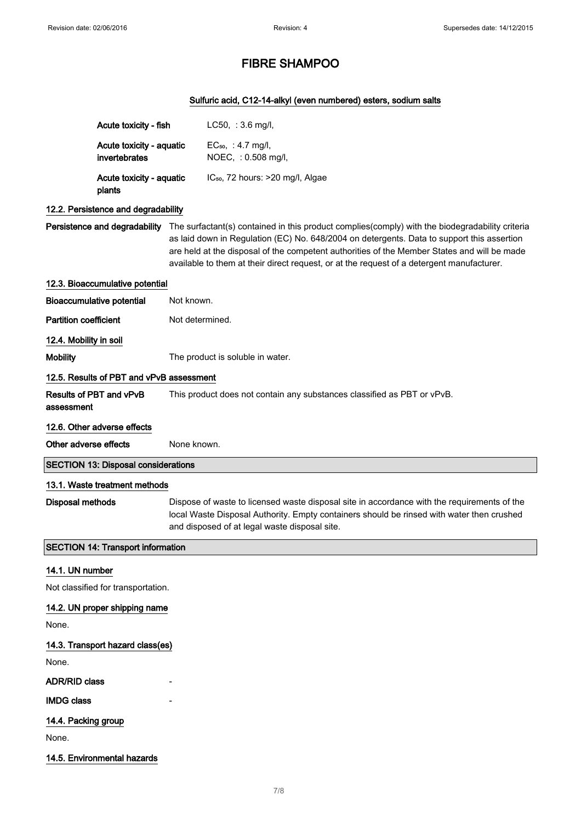## Sulfuric acid, C12-14-alkyl (even numbered) esters, sodium salts

|                                          | Acute toxicity - fish                      |                                                                                                                                                                                                                                           | $LC50, :3.6$ mg/l,                                                                                                                                                                                                                                                                                                                                                                                                      |
|------------------------------------------|--------------------------------------------|-------------------------------------------------------------------------------------------------------------------------------------------------------------------------------------------------------------------------------------------|-------------------------------------------------------------------------------------------------------------------------------------------------------------------------------------------------------------------------------------------------------------------------------------------------------------------------------------------------------------------------------------------------------------------------|
|                                          | Acute toxicity - aquatic                   |                                                                                                                                                                                                                                           | EC <sub>50</sub> , : 4.7 mg/l,                                                                                                                                                                                                                                                                                                                                                                                          |
|                                          | invertebrates                              |                                                                                                                                                                                                                                           | NOEC, : 0.508 mg/l,                                                                                                                                                                                                                                                                                                                                                                                                     |
|                                          | Acute toxicity - aquatic<br>plants         |                                                                                                                                                                                                                                           | IC <sub>50</sub> , 72 hours: >20 mg/l, Algae                                                                                                                                                                                                                                                                                                                                                                            |
|                                          | 12.2. Persistence and degradability        |                                                                                                                                                                                                                                           |                                                                                                                                                                                                                                                                                                                                                                                                                         |
|                                          |                                            |                                                                                                                                                                                                                                           | Persistence and degradability The surfactant(s) contained in this product complies(comply) with the biodegradability criteria<br>as laid down in Regulation (EC) No. 648/2004 on detergents. Data to support this assertion<br>are held at the disposal of the competent authorities of the Member States and will be made<br>available to them at their direct request, or at the request of a detergent manufacturer. |
|                                          | 12.3. Bioaccumulative potential            |                                                                                                                                                                                                                                           |                                                                                                                                                                                                                                                                                                                                                                                                                         |
|                                          | <b>Bioaccumulative potential</b>           | Not known.                                                                                                                                                                                                                                |                                                                                                                                                                                                                                                                                                                                                                                                                         |
| <b>Partition coefficient</b>             |                                            | Not determined.                                                                                                                                                                                                                           |                                                                                                                                                                                                                                                                                                                                                                                                                         |
| 12.4. Mobility in soil                   |                                            |                                                                                                                                                                                                                                           |                                                                                                                                                                                                                                                                                                                                                                                                                         |
| <b>Mobility</b>                          |                                            |                                                                                                                                                                                                                                           | The product is soluble in water.                                                                                                                                                                                                                                                                                                                                                                                        |
|                                          | 12.5. Results of PBT and vPvB assessment   |                                                                                                                                                                                                                                           |                                                                                                                                                                                                                                                                                                                                                                                                                         |
| assessment                               | Results of PBT and vPvB                    |                                                                                                                                                                                                                                           | This product does not contain any substances classified as PBT or vPvB.                                                                                                                                                                                                                                                                                                                                                 |
|                                          | 12.6. Other adverse effects                |                                                                                                                                                                                                                                           |                                                                                                                                                                                                                                                                                                                                                                                                                         |
| Other adverse effects                    |                                            | None known.                                                                                                                                                                                                                               |                                                                                                                                                                                                                                                                                                                                                                                                                         |
|                                          | <b>SECTION 13: Disposal considerations</b> |                                                                                                                                                                                                                                           |                                                                                                                                                                                                                                                                                                                                                                                                                         |
|                                          | 13.1. Waste treatment methods              |                                                                                                                                                                                                                                           |                                                                                                                                                                                                                                                                                                                                                                                                                         |
| Disposal methods                         |                                            | Dispose of waste to licensed waste disposal site in accordance with the requirements of the<br>local Waste Disposal Authority. Empty containers should be rinsed with water then crushed<br>and disposed of at legal waste disposal site. |                                                                                                                                                                                                                                                                                                                                                                                                                         |
| <b>SECTION 14: Transport information</b> |                                            |                                                                                                                                                                                                                                           |                                                                                                                                                                                                                                                                                                                                                                                                                         |
| 14.1. UN number                          |                                            |                                                                                                                                                                                                                                           |                                                                                                                                                                                                                                                                                                                                                                                                                         |
|                                          | Not classified for transportation.         |                                                                                                                                                                                                                                           |                                                                                                                                                                                                                                                                                                                                                                                                                         |
| 14.2. UN proper shipping name            |                                            |                                                                                                                                                                                                                                           |                                                                                                                                                                                                                                                                                                                                                                                                                         |
| None.                                    |                                            |                                                                                                                                                                                                                                           |                                                                                                                                                                                                                                                                                                                                                                                                                         |
|                                          | 14.3. Transport hazard class(es)           |                                                                                                                                                                                                                                           |                                                                                                                                                                                                                                                                                                                                                                                                                         |
| None.                                    |                                            |                                                                                                                                                                                                                                           |                                                                                                                                                                                                                                                                                                                                                                                                                         |
| <b>ADR/RID class</b>                     |                                            |                                                                                                                                                                                                                                           |                                                                                                                                                                                                                                                                                                                                                                                                                         |
| <b>IMDG class</b>                        |                                            |                                                                                                                                                                                                                                           |                                                                                                                                                                                                                                                                                                                                                                                                                         |
| 14.4. Packing group                      |                                            |                                                                                                                                                                                                                                           |                                                                                                                                                                                                                                                                                                                                                                                                                         |
| None.                                    |                                            |                                                                                                                                                                                                                                           |                                                                                                                                                                                                                                                                                                                                                                                                                         |

14.5. Environmental hazards